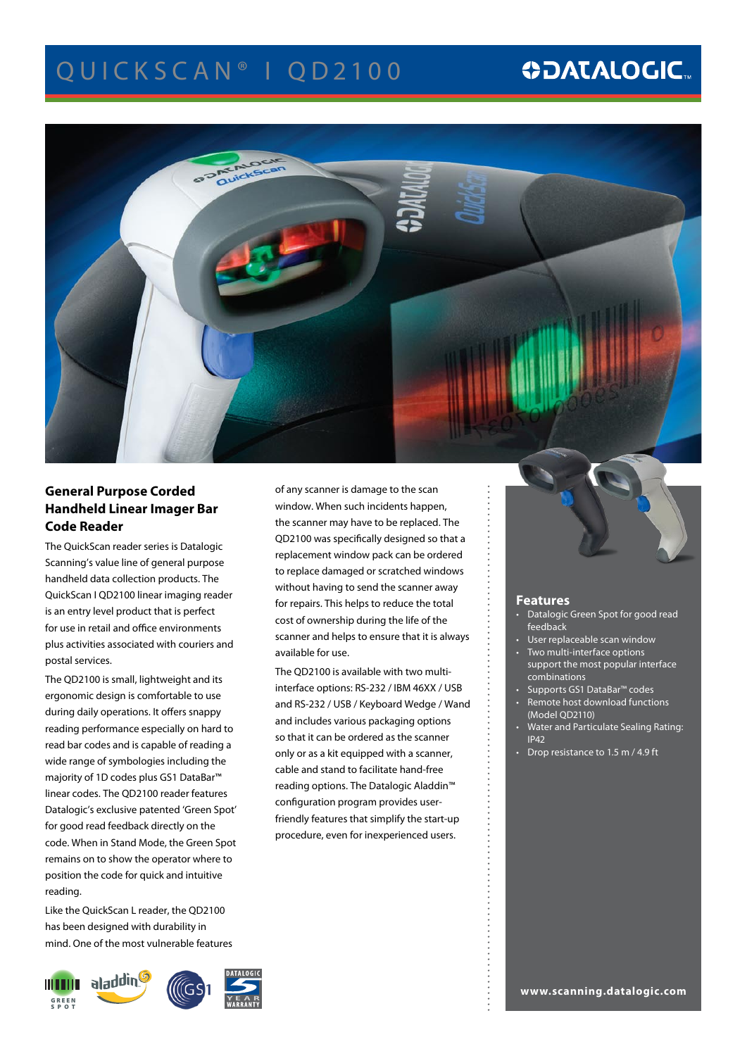# Q UICKSCAN® | QD2100

# **ODATALOGIC.**



## **General Purpose Corded Handheld Linear Imager Bar Code Reader**

The QuickScan reader series is Datalogic Scanning's value line of general purpose handheld data collection products. The QuickScan I QD2100 linear imaging reader is an entry level product that is perfect for use in retail and office environments plus activities associated with couriers and postal services.

The QD2100 is small, lightweight and its ergonomic design is comfortable to use during daily operations. It offers snappy reading performance especially on hard to read bar codes and is capable of reading a wide range of symbologies including the majority of 1D codes plus GS1 DataBar™ linear codes. The QD2100 reader features Datalogic's exclusive patented 'Green Spot' for good read feedback directly on the code. When in Stand Mode, the Green Spot remains on to show the operator where to position the code for quick and intuitive reading.

Like the QuickScan L reader, the QD2100 has been designed with durability in mind. One of the most vulnerable features



of any scanner is damage to the scan window. When such incidents happen, the scanner may have to be replaced. The QD2100 was specifically designed so that a replacement window pack can be ordered to replace damaged or scratched windows without having to send the scanner away for repairs. This helps to reduce the total cost of ownership during the life of the scanner and helps to ensure that it is always available for use.

The QD2100 is available with two multiinterface options: RS-232 / IBM 46XX / USB and RS-232 / USB / Keyboard Wedge / Wand and includes various packaging options so that it can be ordered as the scanner only or as a kit equipped with a scanner, cable and stand to facilitate hand-free reading options. The Datalogic Aladdin™ configuration program provides userfriendly features that simplify the start-up procedure, even for inexperienced users.



### **Features**

- Datalogic Green Spot for good read feedback
- User replaceable scan window
- Two multi-interface options support the most popular interface combinations
- Supports GS1 DataBar<sup>™</sup> codes  $\cdot$  Remote host download functions (Model QD2110)
- Water and Particulate Sealing Rating: IP42
- Drop resistance to 1.5 m / 4.9 ft